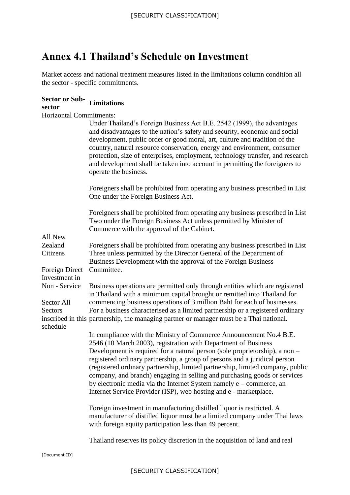# **Annex 4.1 Thailand's Schedule on Investment**

Market access and national treatment measures listed in the limitations column condition all the sector - specific commitments.

| Sector or Sub-<br>Limitations<br>sector |                                                                                                                                                                                                                                                                                                                                                                                                                                                                                                                                                                                                              |
|-----------------------------------------|--------------------------------------------------------------------------------------------------------------------------------------------------------------------------------------------------------------------------------------------------------------------------------------------------------------------------------------------------------------------------------------------------------------------------------------------------------------------------------------------------------------------------------------------------------------------------------------------------------------|
| <b>Horizontal Commitments:</b>          |                                                                                                                                                                                                                                                                                                                                                                                                                                                                                                                                                                                                              |
|                                         | Under Thailand's Foreign Business Act B.E. 2542 (1999), the advantages<br>and disadvantages to the nation's safety and security, economic and social<br>development, public order or good moral, art, culture and tradition of the<br>country, natural resource conservation, energy and environment, consumer<br>protection, size of enterprises, employment, technology transfer, and research<br>and development shall be taken into account in permitting the foreigners to<br>operate the business.                                                                                                     |
|                                         | Foreigners shall be prohibited from operating any business prescribed in List<br>One under the Foreign Business Act.                                                                                                                                                                                                                                                                                                                                                                                                                                                                                         |
| All New                                 | Foreigners shall be prohibited from operating any business prescribed in List<br>Two under the Foreign Business Act unless permitted by Minister of<br>Commerce with the approval of the Cabinet.                                                                                                                                                                                                                                                                                                                                                                                                            |
| Zealand                                 | Foreigners shall be prohibited from operating any business prescribed in List                                                                                                                                                                                                                                                                                                                                                                                                                                                                                                                                |
| Citizens                                | Three unless permitted by the Director General of the Department of<br>Business Development with the approval of the Foreign Business                                                                                                                                                                                                                                                                                                                                                                                                                                                                        |
| Foreign Direct<br>Investment in         | Committee.                                                                                                                                                                                                                                                                                                                                                                                                                                                                                                                                                                                                   |
| Non - Service                           | Business operations are permitted only through entities which are registered<br>in Thailand with a minimum capital brought or remitted into Thailand for                                                                                                                                                                                                                                                                                                                                                                                                                                                     |
| Sector All<br>Sectors<br>schedule       | commencing business operations of 3 million Baht for each of businesses.<br>For a business characterised as a limited partnership or a registered ordinary<br>inscribed in this partnership, the managing partner or manager must be a Thai national.                                                                                                                                                                                                                                                                                                                                                        |
|                                         | In compliance with the Ministry of Commerce Announcement No.4 B.E.<br>2546 (10 March 2003), registration with Department of Business<br>Development is required for a natural person (sole proprietorship), a non –<br>registered ordinary partnership, a group of persons and a juridical person<br>(registered ordinary partnership, limited partnership, limited company, public<br>company, and branch) engaging in selling and purchasing goods or services<br>by electronic media via the Internet System namely e – commerce, an<br>Internet Service Provider (ISP), web hosting and e - marketplace. |
|                                         | Foreign investment in manufacturing distilled liquor is restricted. A<br>manufacturer of distilled liquor must be a limited company under Thai laws<br>with foreign equity participation less than 49 percent.                                                                                                                                                                                                                                                                                                                                                                                               |
|                                         | Thailand reserves its policy discretion in the acquisition of land and real                                                                                                                                                                                                                                                                                                                                                                                                                                                                                                                                  |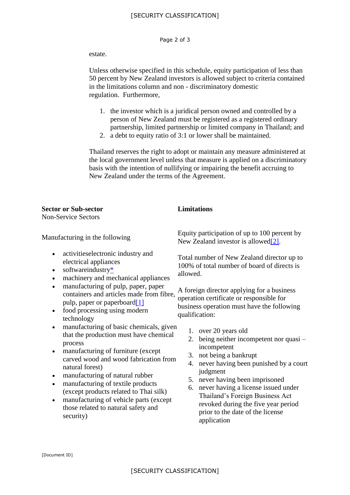# [SECURITY CLASSIFICATION]

#### Page 2 of 3

### estate.

Unless otherwise specified in this schedule, equity participation of less than 50 percent by New Zealand investors is allowed subject to criteria contained in the limitations column and non - discriminatory domestic regulation. Furthermore,

- 1. the investor which is a juridical person owned and controlled by a person of New Zealand must be registered as a registered ordinary partnership, limited partnership or limited company in Thailand; and
- 2. a debt to equity ratio of 3:1 or lower shall be maintained.

Thailand reserves the right to adopt or maintain any measure administered at the local government level unless that measure is applied on a discriminatory basis with the intention of nullifying or impairing the benefit accruing to New Zealand under the terms of the Agreement.

## **Sector or Sub-sector Limitations**

Non-Service Sectors

Manufacturing in the following

- activitieselectronic industry and electrical appliances
- $\bullet$  softwareindustr[y\\*](http://archive.mfat.govt.nz/Trade-and-Economic-Relations/2-Trade-Relationships-and-Agreements/Thailand/Closer-Economic-Partnership-Agreement-text/0-cep-annex4.1.php#refstar)
- machinery and mechanical appliances
- manufacturing of pulp, paper, paper containers and articles made from fibre, pulp, paper or paperboar[d\[1\]](http://archive.mfat.govt.nz/Trade-and-Economic-Relations/2-Trade-Relationships-and-Agreements/Thailand/Closer-Economic-Partnership-Agreement-text/0-cep-annex4.1.php#ref1)
- food processing using modern technology
- manufacturing of basic chemicals, given that the production must have chemical process
- manufacturing of furniture (except carved wood and wood fabrication from natural forest)
- manufacturing of natural rubber
- manufacturing of textile products (except products related to Thai silk)
- manufacturing of vehicle parts (except those related to natural safety and security)

Equity participation of up to 100 percent by New Zealand investor is allowed<sup>[2]</sup>.

Total number of New Zealand director up to 100% of total number of board of directs is allowed.

A foreign director applying for a business operation certificate or responsible for business operation must have the following qualification:

- 1. over 20 years old
- 2. being neither incompetent nor quasi incompetent
- 3. not being a bankrupt
- 4. never having been punished by a court judgment
- 5. never having been imprisoned
- 6. never having a license issued under Thailand's Foreign Business Act revoked during the five year period prior to the date of the license application